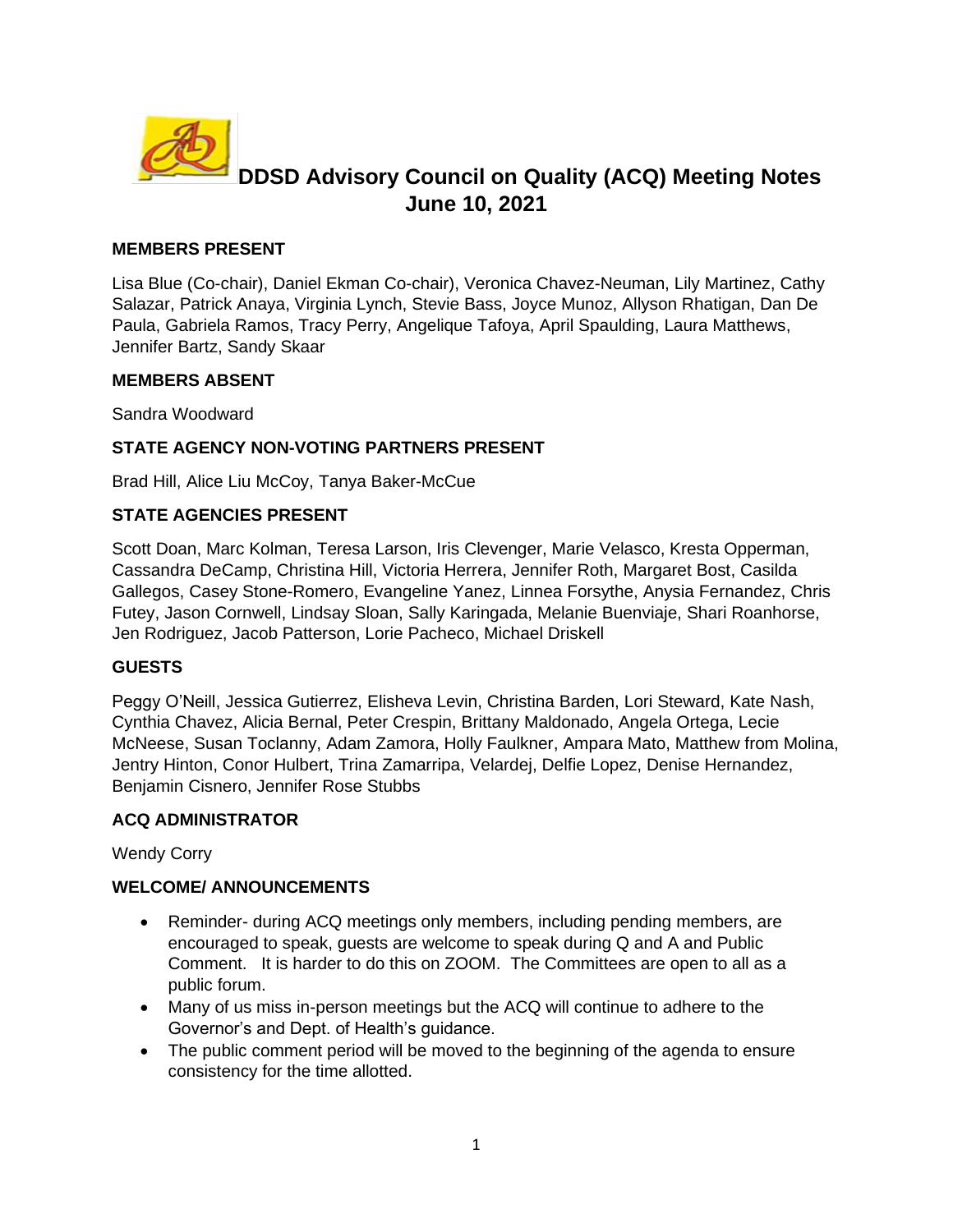

# **DDSD Advisory Council on Quality (ACQ) Meeting Notes June 10, 2021**

## **MEMBERS PRESENT**

Lisa Blue (Co-chair), Daniel Ekman Co-chair), Veronica Chavez-Neuman, Lily Martinez, Cathy Salazar, Patrick Anaya, Virginia Lynch, Stevie Bass, Joyce Munoz, Allyson Rhatigan, Dan De Paula, Gabriela Ramos, Tracy Perry, Angelique Tafoya, April Spaulding, Laura Matthews, Jennifer Bartz, Sandy Skaar

#### **MEMBERS ABSENT**

Sandra Woodward

## **STATE AGENCY NON-VOTING PARTNERS PRESENT**

Brad Hill, Alice Liu McCoy, Tanya Baker-McCue

# **STATE AGENCIES PRESENT**

Scott Doan, Marc Kolman, Teresa Larson, Iris Clevenger, Marie Velasco, Kresta Opperman, Cassandra DeCamp, Christina Hill, Victoria Herrera, Jennifer Roth, Margaret Bost, Casilda Gallegos, Casey Stone-Romero, Evangeline Yanez, Linnea Forsythe, Anysia Fernandez, Chris Futey, Jason Cornwell, Lindsay Sloan, Sally Karingada, Melanie Buenviaje, Shari Roanhorse, Jen Rodriguez, Jacob Patterson, Lorie Pacheco, Michael Driskell

#### **GUESTS**

Peggy O'Neill, Jessica Gutierrez, Elisheva Levin, Christina Barden, Lori Steward, Kate Nash, Cynthia Chavez, Alicia Bernal, Peter Crespin, Brittany Maldonado, Angela Ortega, Lecie McNeese, Susan Toclanny, Adam Zamora, Holly Faulkner, Ampara Mato, Matthew from Molina, Jentry Hinton, Conor Hulbert, Trina Zamarripa, Velardej, Delfie Lopez, Denise Hernandez, Benjamin Cisnero, Jennifer Rose Stubbs

#### **ACQ ADMINISTRATOR**

Wendy Corry

#### **WELCOME/ ANNOUNCEMENTS**

- Reminder- during ACQ meetings only members, including pending members, are encouraged to speak, guests are welcome to speak during Q and A and Public Comment. It is harder to do this on ZOOM. The Committees are open to all as a public forum.
- Many of us miss in-person meetings but the ACQ will continue to adhere to the Governor's and Dept. of Health's guidance.
- The public comment period will be moved to the beginning of the agenda to ensure consistency for the time allotted.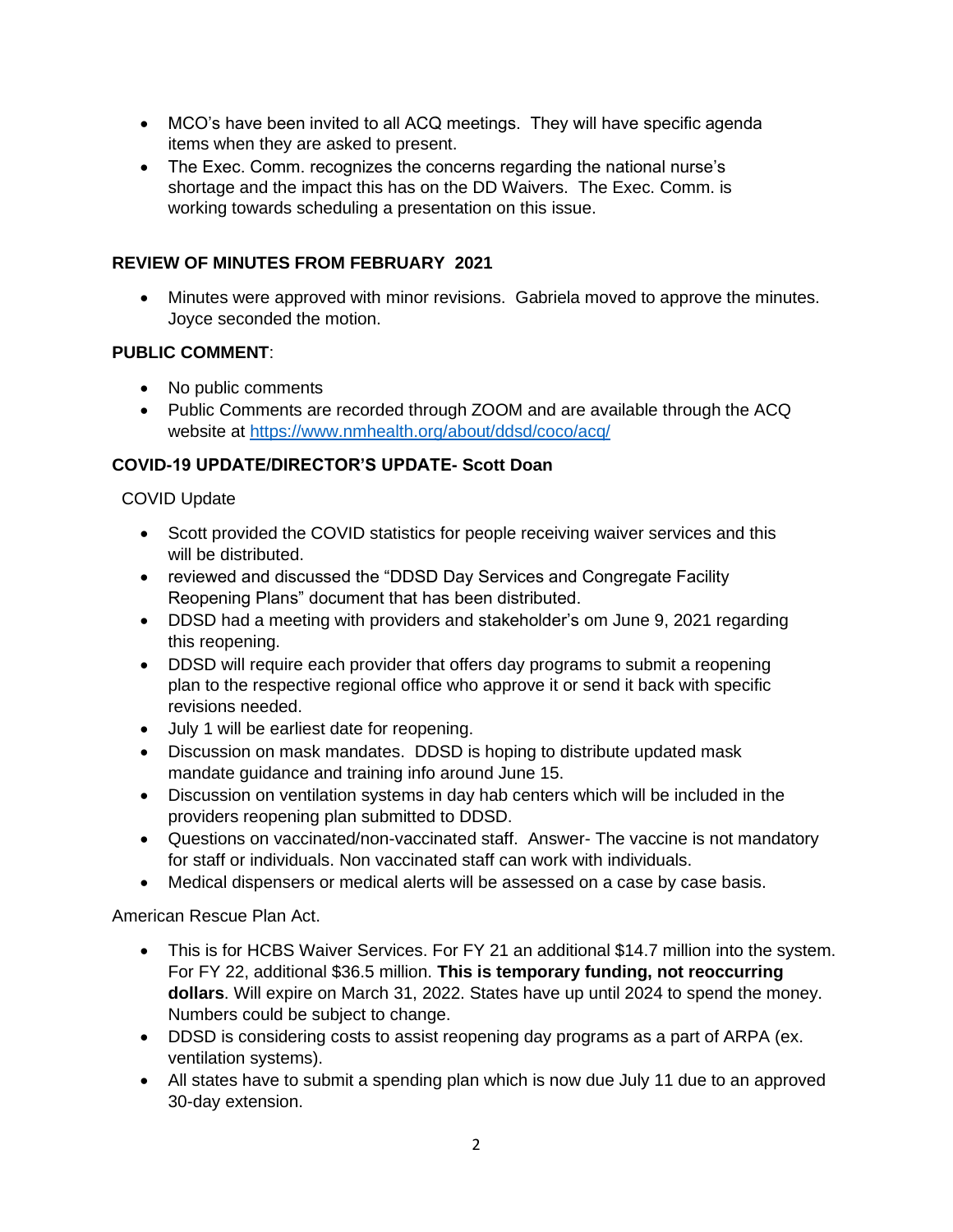- MCO's have been invited to all ACQ meetings. They will have specific agenda items when they are asked to present.
- The Exec. Comm. recognizes the concerns regarding the national nurse's shortage and the impact this has on the DD Waivers. The Exec. Comm. is working towards scheduling a presentation on this issue.

## **REVIEW OF MINUTES FROM FEBRUARY 2021**

• Minutes were approved with minor revisions. Gabriela moved to approve the minutes. Joyce seconded the motion.

#### **PUBLIC COMMENT**:

- No public comments
- Public Comments are recorded through ZOOM and are available through the ACQ website at https://www.nmhealth.org/about/ddsd/coco/acq/

## **COVID-19 UPDATE/DIRECTOR'S UPDATE- Scott Doan**

## COVID Update

- Scott provided the COVID statistics for people receiving waiver services and this will be distributed.
- reviewed and discussed the "DDSD Day Services and Congregate Facility Reopening Plans" document that has been distributed.
- DDSD had a meeting with providers and stakeholder's om June 9, 2021 regarding this reopening.
- DDSD will require each provider that offers day programs to submit a reopening plan to the respective regional office who approve it or send it back with specific revisions needed.
- July 1 will be earliest date for reopening.
- Discussion on mask mandates. DDSD is hoping to distribute updated mask mandate guidance and training info around June 15.
- Discussion on ventilation systems in day hab centers which will be included in the providers reopening plan submitted to DDSD.
- Questions on vaccinated/non-vaccinated staff. Answer- The vaccine is not mandatory for staff or individuals. Non vaccinated staff can work with individuals.
- Medical dispensers or medical alerts will be assessed on a case by case basis.

#### American Rescue Plan Act.

- This is for HCBS Waiver Services. For FY 21 an additional \$14.7 million into the system. For FY 22, additional \$36.5 million. **This is temporary funding, not reoccurring dollars**. Will expire on March 31, 2022. States have up until 2024 to spend the money. Numbers could be subject to change.
- DDSD is considering costs to assist reopening day programs as a part of ARPA (ex. ventilation systems).
- All states have to submit a spending plan which is now due July 11 due to an approved 30-day extension.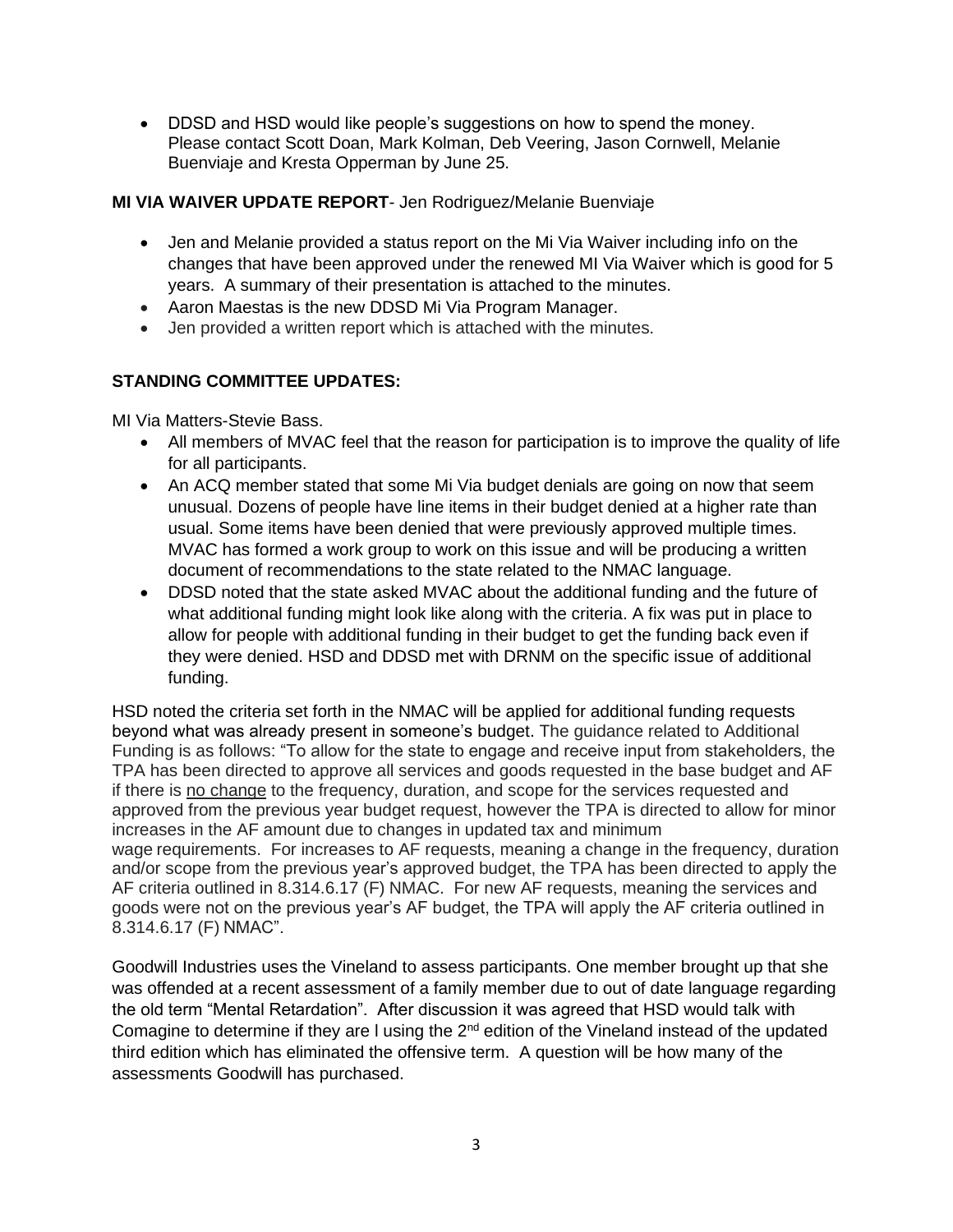• DDSD and HSD would like people's suggestions on how to spend the money. Please contact Scott Doan, Mark Kolman, Deb Veering, Jason Cornwell, Melanie Buenviaje and Kresta Opperman by June 25.

#### **MI VIA WAIVER UPDATE REPORT**- Jen Rodriguez/Melanie Buenviaje

- Jen and Melanie provided a status report on the Mi Via Waiver including info on the changes that have been approved under the renewed MI Via Waiver which is good for 5 years. A summary of their presentation is attached to the minutes.
- Aaron Maestas is the new DDSD Mi Via Program Manager.
- Jen provided a written report which is attached with the minutes.

# **STANDING COMMITTEE UPDATES:**

MI Via Matters-Stevie Bass.

- All members of MVAC feel that the reason for participation is to improve the quality of life for all participants.
- An ACQ member stated that some Mi Via budget denials are going on now that seem unusual. Dozens of people have line items in their budget denied at a higher rate than usual. Some items have been denied that were previously approved multiple times. MVAC has formed a work group to work on this issue and will be producing a written document of recommendations to the state related to the NMAC language.
- DDSD noted that the state asked MVAC about the additional funding and the future of what additional funding might look like along with the criteria. A fix was put in place to allow for people with additional funding in their budget to get the funding back even if they were denied. HSD and DDSD met with DRNM on the specific issue of additional funding.

HSD noted the criteria set forth in the NMAC will be applied for additional funding requests beyond what was already present in someone's budget. The guidance related to Additional Funding is as follows: "To allow for the state to engage and receive input from stakeholders, the TPA has been directed to approve all services and goods requested in the base budget and AF if there is no change to the frequency, duration, and scope for the services requested and approved from the previous year budget request, however the TPA is directed to allow for minor increases in the AF amount due to changes in updated tax and minimum wage requirements. For increases to AF requests, meaning a change in the frequency, duration and/or scope from the previous year's approved budget, the TPA has been directed to apply the AF criteria outlined in 8.314.6.17 (F) NMAC. For new AF requests, meaning the services and goods were not on the previous year's AF budget, the TPA will apply the AF criteria outlined in 8.314.6.17 (F) NMAC".

Goodwill Industries uses the Vineland to assess participants. One member brought up that she was offended at a recent assessment of a family member due to out of date language regarding the old term "Mental Retardation". After discussion it was agreed that HSD would talk with Comagine to determine if they are I using the  $2<sup>nd</sup>$  edition of the Vineland instead of the updated third edition which has eliminated the offensive term. A question will be how many of the assessments Goodwill has purchased.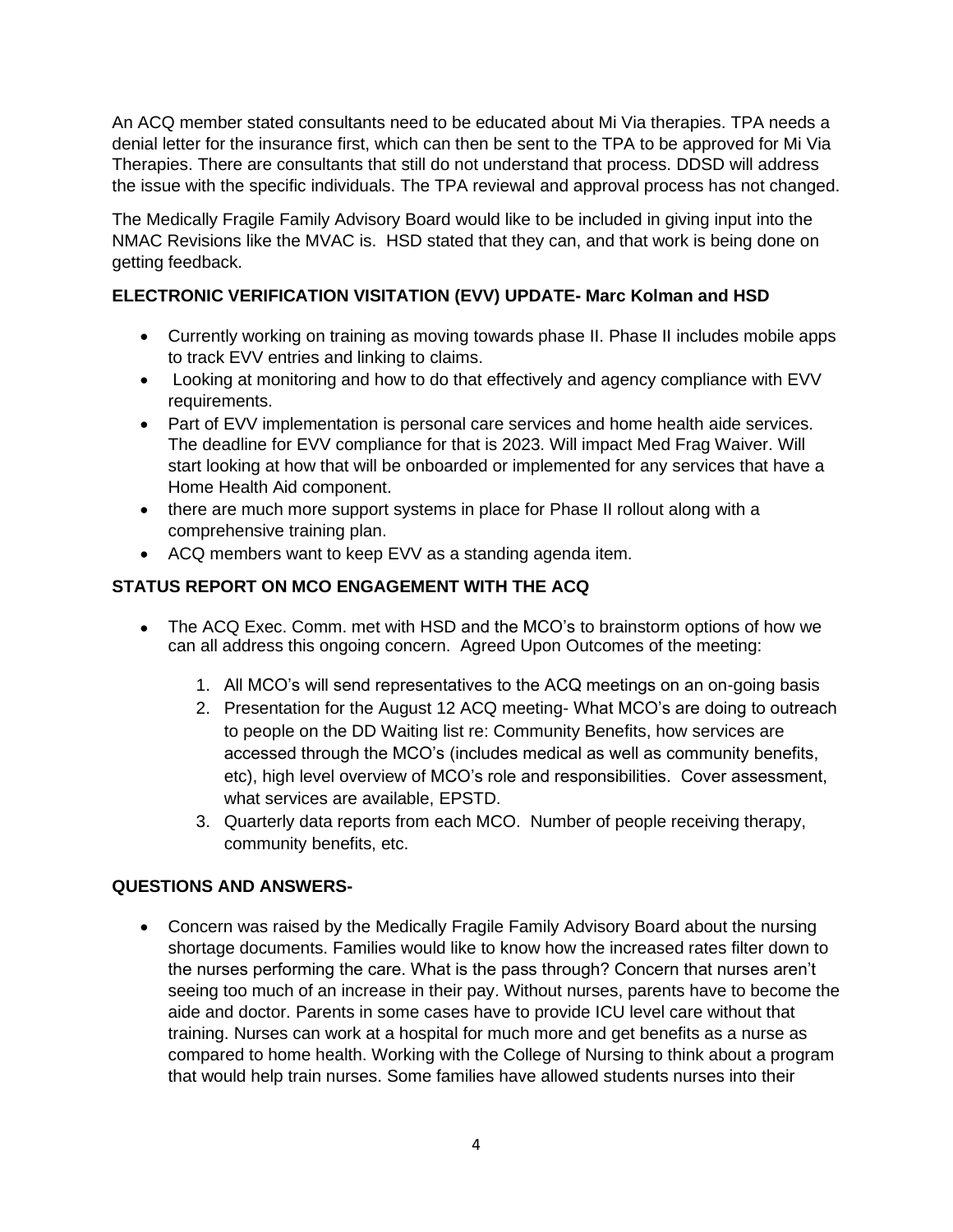An ACQ member stated consultants need to be educated about Mi Via therapies. TPA needs a denial letter for the insurance first, which can then be sent to the TPA to be approved for Mi Via Therapies. There are consultants that still do not understand that process. DDSD will address the issue with the specific individuals. The TPA reviewal and approval process has not changed.

The Medically Fragile Family Advisory Board would like to be included in giving input into the NMAC Revisions like the MVAC is. HSD stated that they can, and that work is being done on getting feedback.

# **ELECTRONIC VERIFICATION VISITATION (EVV) UPDATE- Marc Kolman and HSD**

- Currently working on training as moving towards phase II. Phase II includes mobile apps to track EVV entries and linking to claims.
- Looking at monitoring and how to do that effectively and agency compliance with EVV requirements.
- Part of EVV implementation is personal care services and home health aide services. The deadline for EVV compliance for that is 2023. Will impact Med Frag Waiver. Will start looking at how that will be onboarded or implemented for any services that have a Home Health Aid component.
- there are much more support systems in place for Phase II rollout along with a comprehensive training plan.
- ACQ members want to keep EVV as a standing agenda item.

# **STATUS REPORT ON MCO ENGAGEMENT WITH THE ACQ**

- The ACQ Exec. Comm, met with HSD and the MCO's to brainstorm options of how we can all address this ongoing concern. Agreed Upon Outcomes of the meeting:
	- 1. All MCO's will send representatives to the ACQ meetings on an on-going basis
	- 2. Presentation for the August 12 ACQ meeting- What MCO's are doing to outreach to people on the DD Waiting list re: Community Benefits, how services are accessed through the MCO's (includes medical as well as community benefits, etc), high level overview of MCO's role and responsibilities. Cover assessment, what services are available, EPSTD.
	- 3. Quarterly data reports from each MCO. Number of people receiving therapy, community benefits, etc.

# **QUESTIONS AND ANSWERS-**

• Concern was raised by the Medically Fragile Family Advisory Board about the nursing shortage documents. Families would like to know how the increased rates filter down to the nurses performing the care. What is the pass through? Concern that nurses aren't seeing too much of an increase in their pay. Without nurses, parents have to become the aide and doctor. Parents in some cases have to provide ICU level care without that training. Nurses can work at a hospital for much more and get benefits as a nurse as compared to home health. Working with the College of Nursing to think about a program that would help train nurses. Some families have allowed students nurses into their